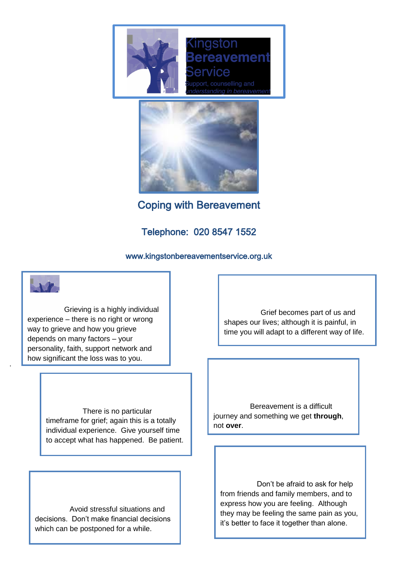



Coping with Bereavement

## Telephone: 020 8547 1552

## www.kingstonbereavementservice.org.uk

Grieving is a highly individual experience – there is no right or wrong way to grieve and how you grieve depends on many factors – your personality, faith, support network and how significant the loss was to you.

.

There is no particular timeframe for grief; again this is a totally individual experience. Give yourself time to accept what has happened. Be patient.

Avoid stressful situations and decisions. Don't make financial decisions which can be postponed for a while.

Grief becomes part of us and shapes our lives; although it is painful, in time you will adapt to a different way of life.

Bereavement is a difficult journey and something we get **through**, not **over**.

Don't be afraid to ask for help from friends and family members, and to express how you are feeling. Although they may be feeling the same pain as you, it's better to face it together than alone.